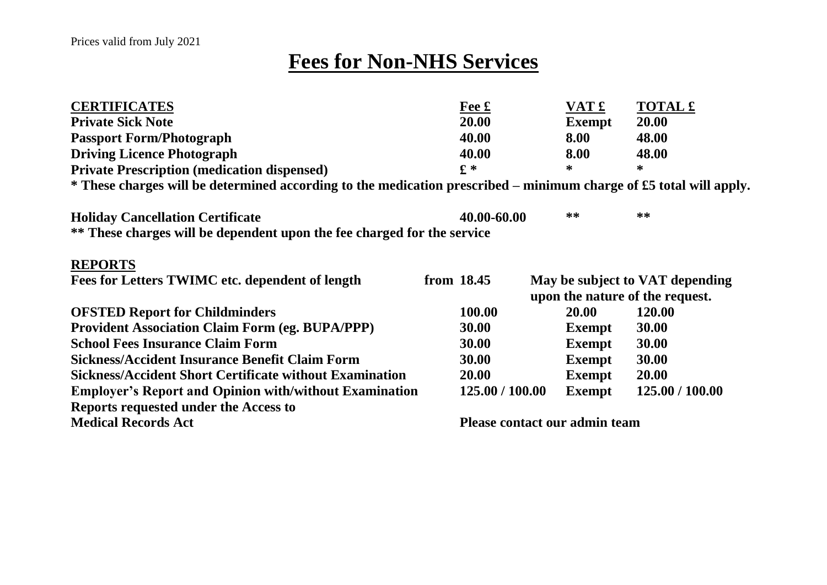## **Fees for Non-NHS Services**

| <b>CERTIFICATES</b>                                                                                                | $Fe$ £                          | VAT £         | <b>TOTAL £</b>                  |  |
|--------------------------------------------------------------------------------------------------------------------|---------------------------------|---------------|---------------------------------|--|
| <b>Private Sick Note</b>                                                                                           | 20.00                           | <b>Exempt</b> | 20.00                           |  |
| <b>Passport Form/Photograph</b>                                                                                    | 40.00                           | 8.00          | 48.00                           |  |
| <b>Driving Licence Photograph</b>                                                                                  | 40.00                           | 8.00          | 48.00                           |  |
| <b>Private Prescription (medication dispensed)</b>                                                                 | $f^*$                           | ∗             | *                               |  |
| * These charges will be determined according to the medication prescribed – minimum charge of £5 total will apply. |                                 |               |                                 |  |
| <b>Holiday Cancellation Certificate</b>                                                                            | 40.00-60.00                     | **            | **                              |  |
| ** These charges will be dependent upon the fee charged for the service                                            |                                 |               |                                 |  |
| <b>REPORTS</b>                                                                                                     |                                 |               |                                 |  |
| Fees for Letters TWIMC etc. dependent of length                                                                    | from 18.45                      |               | May be subject to VAT depending |  |
|                                                                                                                    | upon the nature of the request. |               |                                 |  |
| <b>OFSTED Report for Childminders</b>                                                                              | 100.00                          | <b>20.00</b>  | 120.00                          |  |
| <b>Provident Association Claim Form (eg. BUPA/PPP)</b>                                                             | 30.00                           | <b>Exempt</b> | 30.00                           |  |
| <b>School Fees Insurance Claim Form</b>                                                                            | 30.00                           | <b>Exempt</b> | 30.00                           |  |
| <b>Sickness/Accident Insurance Benefit Claim Form</b>                                                              | 30.00                           | <b>Exempt</b> | 30.00                           |  |
| <b>Sickness/Accident Short Certificate without Examination</b>                                                     | 20.00                           | <b>Exempt</b> | 20.00                           |  |
| <b>Employer's Report and Opinion with/without Examination</b>                                                      | 125.00 / 100.00                 | <b>Exempt</b> | 125.00 / 100.00                 |  |
| Reports requested under the Access to                                                                              |                                 |               |                                 |  |
| <b>Medical Records Act</b>                                                                                         | Please contact our admin team   |               |                                 |  |